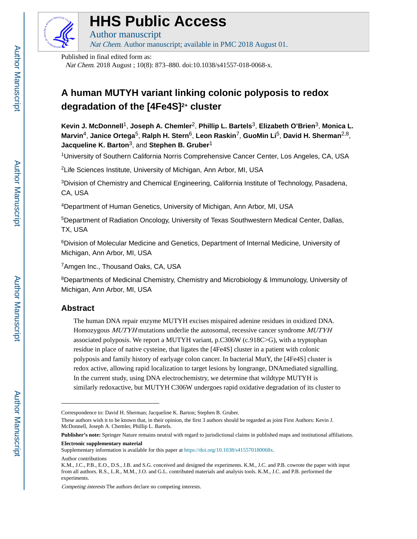

# **HHS Public Access**

Author manuscript Nat Chem. Author manuscript; available in PMC 2018 August 01.

Published in final edited form as:

Nat Chem. 2018 August ; 10(8): 873–880. doi:10.1038/s41557-018-0068-x.

## **A human MUTYH variant linking colonic polyposis to redox degradation of the [4Fe4S]2+ cluster**

**Kevin J. McDonnell**1, **Joseph A. Chemler**2, **Phillip L. Bartels**3, **Elizabeth O'Brien**3, **Monica L. Marvin**4, **Janice Ortega**5, **Ralph H. Stern**6, **Leon Raskin**7, **GuoMin Li**5, **David H. Sherman**2,8, **Jacqueline K. Barton**3, and **Stephen B. Gruber**<sup>1</sup>

<sup>1</sup>University of Southern California Norris Comprehensive Cancer Center, Los Angeles, CA, USA

<sup>2</sup>Life Sciences Institute, University of Michigan, Ann Arbor, MI, USA

<sup>3</sup>Division of Chemistry and Chemical Engineering, California Institute of Technology, Pasadena, CA, USA

<sup>4</sup>Department of Human Genetics, University of Michigan, Ann Arbor, MI, USA

<sup>5</sup>Department of Radiation Oncology, University of Texas Southwestern Medical Center, Dallas, TX, USA

<sup>6</sup>Division of Molecular Medicine and Genetics, Department of Internal Medicine, University of Michigan, Ann Arbor, MI, USA

<sup>7</sup>Amgen Inc., Thousand Oaks, CA, USA

<sup>8</sup>Departments of Medicinal Chemistry, Chemistry and Microbiology & Immunology, University of Michigan, Ann Arbor, MI, USA

## **Abstract**

The human DNA repair enzyme MUTYH excises mispaired adenine residues in oxidized DNA. Homozygous MUTYH mutations underlie the autosomal, recessive cancer syndrome MUTYH associated polyposis. We report a MUTYH variant, p.C306W (c.918C>G), with a tryptophan residue in place of native cysteine, that ligates the [4Fe4S] cluster in a patient with colonic polyposis and family history of earlyage colon cancer. In bacterial MutY, the [4Fe4S] cluster is redox active, allowing rapid localization to target lesions by longrange, DNAmediated signalling. In the current study, using DNA electrochemistry, we determine that wildtype MUTYH is similarly redoxactive, but MUTYH C306W undergoes rapid oxidative degradation of its cluster to

Correspondence to: David H. Sherman; Jacqueline K. Barton; Stephen B. Gruber.

These authors wish it to be known that, in their opinion, the first 3 authors should be regarded as joint First Authors: Kevin J. McDonnell, Joseph A. Chemler, Phillip L. Bartels.

**Publisher's note:** Springer Nature remains neutral with regard to jurisdictional claims in published maps and institutional affiliations. **Electronic supplementary material**

Supplementary information is available for this paper at [https://doi.org/10.1038/s415570180068x](https://doi.org/10.1038/s41557­018­0068­x). Author contributions

K.M., J.C., P.B., E.O., D.S., J.B. and S.G. conceived and designed the experiments. K.M., J.C. and P.B. cowrote the paper with input from all authors. R.S., L.R., M.M., J.O. and G.L. contributed materials and analysis tools. K.M., J.C. and P.B. performed the experiments.

Competing interests The authors declare no competing interests.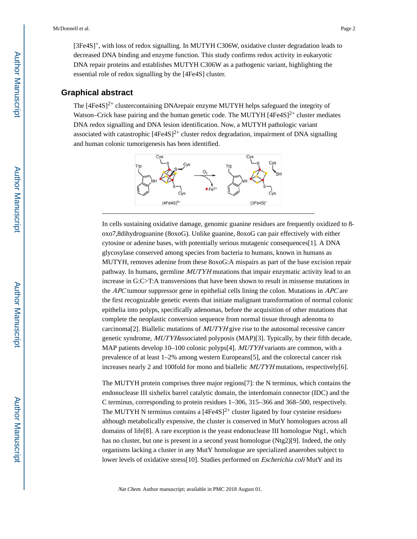[3Fe4S]+, with loss of redox signalling. In MUTYH C306W, oxidative cluster degradation leads to decreased DNA binding and enzyme function. This study confirms redox activity in eukaryotic DNA repair proteins and establishes MUTYH C306W as a pathogenic variant, highlighting the essential role of redox signalling by the [4Fe4S] cluster.

#### **Graphical abstract**

The  $[4Fe4S]^2$ <sup>+</sup> clustercontaining DNArepair enzyme MUTYH helps safeguard the integrity of Watson–Crick base pairing and the human genetic code. The MUTYH  $[4Fe4S]^{2+}$  cluster mediates DNA redox signalling and DNA lesion identification. Now, a MUTYH pathologic variant associated with catastrophic  $[4Fe4S]<sup>2+</sup>$  cluster redox degradation, impairment of DNA signalling and human colonic tumorigenesis has been identified.



In cells sustaining oxidative damage, genomic guanine residues are frequently oxidized to 8‐ oxo7,8dihydroguanine (8oxoG). Unlike guanine, 8oxoG can pair effectively with either cytosine or adenine bases, with potentially serious mutagenic consequences[1]. A DNA glycosylase conserved among species from bacteria to humans, known in humans as MUTYH, removes adenine from these 8oxoG:A mispairs as part of the base excision repair pathway. In humans, germline MUTYH mutations that impair enzymatic activity lead to an increase in G:C>T:A transversions that have been shown to result in missense mutations in the APC tumour suppressor gene in epithelial cells lining the colon. Mutations in APC are the first recognizable genetic events that initiate malignant transformation of normal colonic epithelia into polyps, specifically adenomas, before the acquisition of other mutations that complete the neoplastic conversion sequence from normal tissue through adenoma to carcinoma<sup>[2]</sup>. Biallelic mutations of  $MUTYH$  give rise to the autosomal recessive cancer genetic syndrome, MUTYHassociated polyposis (MAP)[3]. Typically, by their fifth decade, MAP patients develop 10–100 colonic polyps[4]. *MUTYH* variants are common, with a prevalence of at least 1–2% among western Europeans[5], and the colorectal cancer risk increases nearly 2 and 100fold for mono and biallelic MUTYH mutations, respectively[6].

The MUTYH protein comprises three major regions[7]: the N terminus, which contains the endonuclease III sixhelix barrel catalytic domain, the interdomain connector (IDC) and the C terminus, corresponding to protein residues 1–306, 315–366 and 368–500, respectively. The MUTYH N terminus contains a  $[4Fe4S]^2$ <sup>+</sup> cluster ligated by four cysteine residues; although metabolically expensive, the cluster is conserved in MutY homologues across all domains of life[8]. A rare exception is the yeast endonuclease III homologue Ntg1, which has no cluster, but one is present in a second yeast homologue (Ntg2)[9]. Indeed, the only organisms lacking a cluster in any MutY homologue are specialized anaerobes subject to lower levels of oxidative stress[10]. Studies performed on *Escherichia coli* MutY and its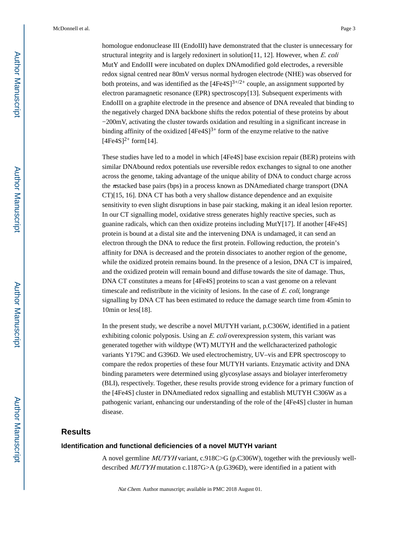homologue endonuclease III (EndoIII) have demonstrated that the cluster is unnecessary for structural integrity and is largely redoxinert in solution $[11, 12]$ . However, when E. coli MutY and EndoIII were incubated on duplex DNAmodified gold electrodes, a reversible redox signal centred near 80 mV versus normal hydrogen electrode (NHE) was observed for both proteins, and was identified as the  $[4Fe4S]^{3+/2+}$  couple, an assignment supported by electron paramagnetic resonance (EPR) spectroscopy[13]. Subsequent experiments with EndoIII on a graphite electrode in the presence and absence of DNA revealed that binding to the negatively charged DNA backbone shifts the redox potential of these proteins by about −200 mV, activating the cluster towards oxidation and resulting in a significant increase in binding affinity of the oxidized  $[4Fe4S]^{3+}$  form of the enzyme relative to the native  $[4Fe4S]^{2+}$  form $[14]$ .

These studies have led to a model in which [4Fe4S] base excision repair (BER) proteins with similar DNAbound redox potentials use reversible redox exchanges to signal to one another across the genome, taking advantage of the unique ability of DNA to conduct charge across the πstacked base pairs (bps) in a process known as DNAmediated charge transport (DNA CT)[15, 16]. DNA CT has both a very shallow distance dependence and an exquisite sensitivity to even slight disruptions in base pair stacking, making it an ideal lesion reporter. In our CT signalling model, oxidative stress generates highly reactive species, such as guanine radicals, which can then oxidize proteins including MutY[17]. If another [4Fe4S] protein is bound at a distal site and the intervening DNA is undamaged, it can send an electron through the DNA to reduce the first protein. Following reduction, the protein's affinity for DNA is decreased and the protein dissociates to another region of the genome, while the oxidized protein remains bound. In the presence of a lesion, DNA CT is impaired, and the oxidized protein will remain bound and diffuse towards the site of damage. Thus, DNA CT constitutes a means for [4Fe4S] proteins to scan a vast genome on a relevant timescale and redistribute in the vicinity of lesions. In the case of  $E$ , coli, longrange signalling by DNA CT has been estimated to reduce the damage search time from 45 min to 10min or less[18].

In the present study, we describe a novel MUTYH variant, p.C306W, identified in a patient exhibiting colonic polyposis. Using an  $E$ , coli overexpression system, this variant was generated together with wildtype (WT) MUTYH and the wellcharacterized pathologic variants Y179C and G396D. We used electrochemistry, UV–vis and EPR spectroscopy to compare the redox properties of these four MUTYH variants. Enzymatic activity and DNA binding parameters were determined using glycosylase assays and biolayer interferometry (BLI), respectively. Together, these results provide strong evidence for a primary function of the [4Fe4S] cluster in DNAmediated redox signalling and establish MUTYH C306W as a pathogenic variant, enhancing our understanding of the role of the [4Fe4S] cluster in human disease.

#### **Results**

#### **Identification and functional deficiencies of a novel MUTYH variant**

A novel germline *MUTYH* variant, c.918C>G (p.C306W), together with the previously welldescribed MUTYH mutation c.1187G>A (p.G396D), were identified in a patient with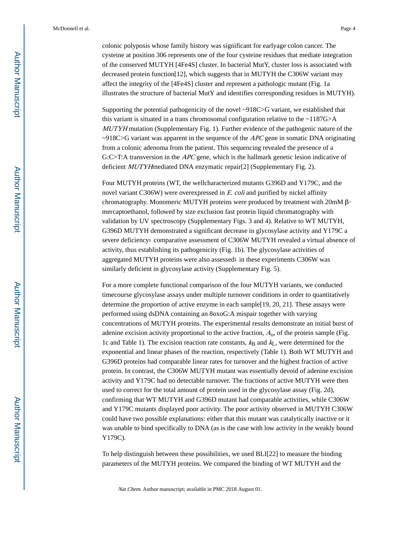colonic polyposis whose family history was significant for earlyage colon cancer. The cysteine at position 306 represents one of the four cysteine residues that mediate integration of the conserved MUTYH [4Fe4S] cluster. In bacterial MutY, cluster loss is associated with decreased protein function[12], which suggests that in MUTYH the C306W variant may affect the integrity of the [4Fe4S] cluster and represent a pathologic mutant (Fig. 1a illustrates the structure of bacterial MutY and identifies corresponding residues in MUTYH).

Supporting the potential pathogenicity of the novel ~918C>G variant, we established that this variant is situated in a trans chromosomal configuration relative to the ~1187G>A MUTYH mutation (Supplementary Fig. 1). Further evidence of the pathogenic nature of the  $\sim$ 918C>G variant was apparent in the sequence of the APC gene in somatic DNA originating from a colonic adenoma from the patient. This sequencing revealed the presence of a G:C>T:A transversion in the *APC* gene, which is the hallmark genetic lesion indicative of deficient MUTYHmediated DNA enzymatic repair[2] (Supplementary Fig. 2).

Four MUTYH proteins (WT, the wellcharacterized mutants G396D and Y179C, and the novel variant C306W) were overexpressed in E. coli and purified by nickel affinity chromatography. Monomeric MUTYH proteins were produced by treatment with 20mM βmercaptoethanol, followed by size exclusion fast protein liquid chromatography with validation by UV spectroscopy (Supplementary Figs. 3 and 4). Relative to WT MUTYH, G396D MUTYH demonstrated a significant decrease in glycosylase activity and Y179C a severe deficiency; comparative assessment of C306W MUTYH revealed a virtual absence of activity, thus establishing its pathogenicity (Fig. 1b). The glycosylase activities of aggregated MUTYH proteins were also assessed; in these experiments C306W was similarly deficient in glycosylase activity (Supplementary Fig. 5).

For a more complete functional comparison of the four MUTYH variants, we conducted timecourse glycosylase assays under multiple turnover conditions in order to quantitatively determine the proportion of active enzyme in each sample[19, 20, 21]. These assays were performed using dsDNA containing an 8oxoG:A mispair together with varying concentrations of MUTYH proteins. The experimental results demonstrate an initial burst of adenine excision activity proportional to the active fraction,  $A<sub>0</sub>$ , of the protein sample (Fig. 1c and Table 1). The excision reaction rate constants,  $k_B$  and  $k_L$ , were determined for the exponential and linear phases of the reaction, respectively (Table 1). Both WT MUTYH and G396D proteins had comparable linear rates for turnover and the highest fraction of active protein. In contrast, the C306W MUTYH mutant was essentially devoid of adenine excision activity and Y179C had no detectable turnover. The fractions of active MUTYH were then used to correct for the total amount of protein used in the glycosylase assay (Fig. 2d), confirming that WT MUTYH and G396D mutant had comparable activities, while C306W and Y179C mutants displayed poor activity. The poor activity observed in MUTYH C306W could have two possible explanations: either that this mutant was catalytically inactive or it was unable to bind specifically to DNA (as is the case with low activity in the weakly bound Y179C).

To help distinguish between these possibilities, we used BLI[22] to measure the binding parameters of the MUTYH proteins. We compared the binding of WT MUTYH and the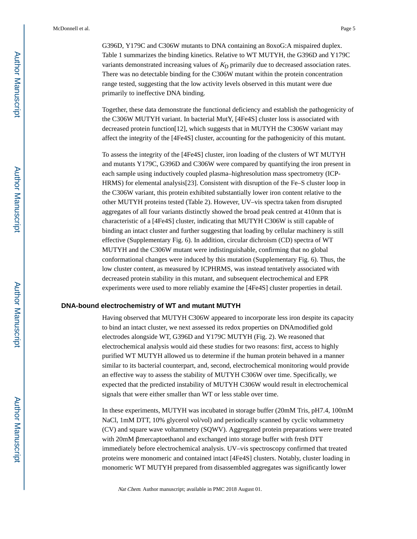G396D, Y179C and C306W mutants to DNA containing an 8oxoG:A mispaired duplex. Table 1 summarizes the binding kinetics. Relative to WT MUTYH, the G396D and Y179C variants demonstrated increasing values of  $K<sub>D</sub>$  primarily due to decreased association rates. There was no detectable binding for the C306W mutant within the protein concentration range tested, suggesting that the low activity levels observed in this mutant were due primarily to ineffective DNA binding.

Together, these data demonstrate the functional deficiency and establish the pathogenicity of the C306W MUTYH variant. In bacterial MutY, [4Fe4S] cluster loss is associated with decreased protein function[12], which suggests that in MUTYH the C306W variant may affect the integrity of the [4Fe4S] cluster, accounting for the pathogenicity of this mutant.

To assess the integrity of the [4Fe4S] cluster, iron loading of the clusters of WT MUTYH and mutants Y179C, G396D and C306W were compared by quantifying the iron present in each sample using inductively coupled plasma–highresolution mass spectrometry (ICP‐ HRMS) for elemental analysis[23]. Consistent with disruption of the Fe–S cluster loop in the C306W variant, this protein exhibited substantially lower iron content relative to the other MUTYH proteins tested (Table 2). However, UV–vis spectra taken from disrupted aggregates of all four variants distinctly showed the broad peak centred at 410 nm that is characteristic of a [4Fe4S] cluster, indicating that MUTYH C306W is still capable of binding an intact cluster and further suggesting that loading by cellular machinery is still effective (Supplementary Fig. 6). In addition, circular dichroism (CD) spectra of WT MUTYH and the C306W mutant were indistinguishable, confirming that no global conformational changes were induced by this mutation (Supplementary Fig. 6). Thus, the low cluster content, as measured by ICPHRMS, was instead tentatively associated with decreased protein stability in this mutant, and subsequent electrochemical and EPR experiments were used to more reliably examine the [4Fe4S] cluster properties in detail.

#### **DNA-bound electrochemistry of WT and mutant MUTYH**

Having observed that MUTYH C306W appeared to incorporate less iron despite its capacity to bind an intact cluster, we next assessed its redox properties on DNAmodified gold electrodes alongside WT, G396D and Y179C MUTYH (Fig. 2). We reasoned that electrochemical analysis would aid these studies for two reasons: first, access to highly purified WT MUTYH allowed us to determine if the human protein behaved in a manner similar to its bacterial counterpart, and, second, electrochemical monitoring would provide an effective way to assess the stability of MUTYH C306W over time. Specifically, we expected that the predicted instability of MUTYH C306W would result in electrochemical signals that were either smaller than WT or less stable over time.

In these experiments, MUTYH was incubated in storage buffer (20 mM Tris, pH 7.4, 100 mM NaCl, 1mM DTT, 10% glycerol vol/vol) and periodically scanned by cyclic voltammetry (CV) and square wave voltammetry (SQWV). Aggregated protein preparations were treated with 20 mM βmercaptoethanol and exchanged into storage buffer with fresh DTT immediately before electrochemical analysis. UV–vis spectroscopy confirmed that treated proteins were monomeric and contained intact [4Fe4S] clusters. Notably, cluster loading in monomeric WT MUTYH prepared from disassembled aggregates was significantly lower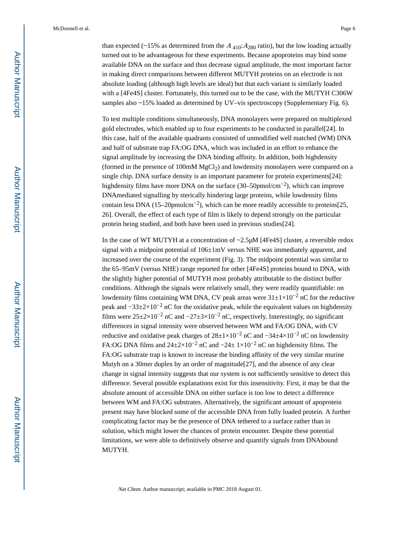than expected (~15% as determined from the  $A_{410}:A_{280}$  ratio), but the low loading actually turned out to be advantageous for these experiments. Because apoproteins may bind some available DNA on the surface and thus decrease signal amplitude, the most important factor in making direct comparisons between different MUTYH proteins on an electrode is not absolute loading (although high levels are ideal) but that each variant is similarly loaded with a [4Fe4S] cluster. Fortunately, this turned out to be the case, with the MUTYH C306W samples also ~15% loaded as determined by UV–vis spectroscopy (Supplementary Fig. 6).

To test multiple conditions simultaneously, DNA monolayers were prepared on multiplexed gold electrodes, which enabled up to four experiments to be conducted in parallel[24]. In this case, half of the available quadrants consisted of unmodified well matched (WM) DNA and half of substrate trap FA:OG DNA, which was included in an effort to enhance the signal amplitude by increasing the DNA binding affinity. In addition, both highdensity (formed in the presence of 100 $m$ M MgCl<sub>2</sub>) and lowdensity monolayers were compared on a single chip. DNA surface density is an important parameter for protein experiments[24]: highdensity films have more DNA on the surface  $(30–50$ pmol/cm<sup>-2</sup>), which can improve DNAmediated signalling by sterically hindering large proteins, while lowdensity films contain less DNA (15–20 $p$ molcm<sup>-2</sup>), which can be more readily accessible to proteins[25, 26]. Overall, the effect of each type of film is likely to depend strongly on the particular protein being studied, and both have been used in previous studies[24].

In the case of WT MUTYH at a concentration of  $\sim$ 2.5 $\mu$ M [4Fe4S] cluster, a reversible redox signal with a midpoint potential of  $106±1mV$  versus NHE was immediately apparent, and increased over the course of the experiment (Fig. 3). The midpoint potential was similar to the 65–95 mV (versus NHE) range reported for other [4Fe4S] proteins bound to DNA, with the slightly higher potential of MUTYH most probably attributable to the distinct buffer conditions. Although the signals were relatively small, they were readily quantifiable: on lowdensity films containing WM DNA, CV peak areas were  $31\pm1\times10^{-2}$  nC for the reductive peak and  $-33\pm 2\times 10^{-2}$  nC for the oxidative peak, while the equivalent values on highdensity films were  $25\pm2\times10^{-2}$  nC and  $-27\pm3\times10^{-2}$  nC, respectively. Interestingly, no significant differences in signal intensity were observed between WM and FA:OG DNA, with CV reductive and oxidative peak charges of  $28 \pm 1 \times 10^{-2}$  nC and  $-34 \pm 4 \times 10^{-2}$  nC on lowdensity FA:OG DNA films and  $24\pm2\times10^{-2}$  nC and  $-24\pm1\times10^{-2}$  nC on highdensity films. The FA:OG substrate trap is known to increase the binding affinity of the very similar murine Mutyh on a 30mer duplex by an order of magnitude[27], and the absence of any clear change in signal intensity suggests that our system is not sufficiently sensitive to detect this difference. Several possible explanations exist for this insensitivity. First, it may be that the absolute amount of accessible DNA on either surface is too low to detect a difference between WM and FA:OG substrates. Alternatively, the significant amount of apoprotein present may have blocked some of the accessible DNA from fully loaded protein. A further complicating factor may be the presence of DNA tethered to a surface rather than in solution, which might lower the chances of protein encounter. Despite these potential limitations, we were able to definitively observe and quantify signals from DNAbound MUTYH.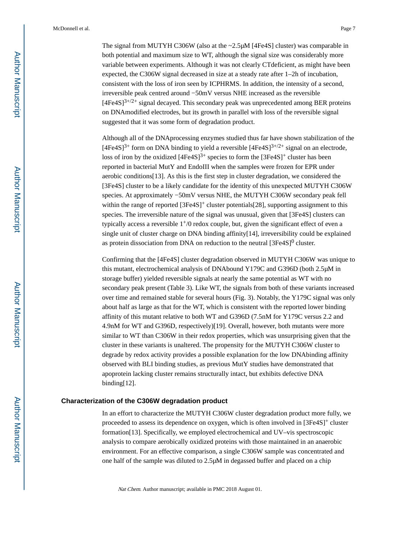The signal from MUTYH C306W (also at the  $\sim$ 2.5 $\mu$ M [4Fe4S] cluster) was comparable in both potential and maximum size to WT, although the signal size was considerably more variable between experiments. Although it was not clearly CTdeficient, as might have been expected, the C306W signal decreased in size at a steady rate after 1–2h of incubation, consistent with the loss of iron seen by ICPHRMS. In addition, the intensity of a second, irreversible peak centred around −50 mV versus NHE increased as the reversible  $[4Fe4S]^{3+/2+}$  signal decayed. This secondary peak was unprecedented among BER proteins on DNAmodified electrodes, but its growth in parallel with loss of the reversible signal suggested that it was some form of degradation product.

Although all of the DNAprocessing enzymes studied thus far have shown stabilization of the  $[4Fe4S]^{3+}$  form on DNA binding to yield a reversible  $[4Fe4S]^{3+}/2+}$  signal on an electrode, loss of iron by the oxidized  $[4Fe4S]^{3+}$  species to form the  $[3Fe4S]^{+}$  cluster has been reported in bacterial MutY and EndoIII when the samples were frozen for EPR under aerobic conditions[13]. As this is the first step in cluster degradation, we considered the [3Fe4S] cluster to be a likely candidate for the identity of this unexpected MUTYH C306W species. At approximately −50mV versus NHE, the MUTYH C306W secondary peak fell within the range of reported  $[3Fe4S]^+$  cluster potentials [28], supporting assignment to this species. The irreversible nature of the signal was unusual, given that [3Fe4S] clusters can typically access a reversible 1+/0 redox couple, but, given the significant effect of even a single unit of cluster charge on DNA binding affinity[14], irreversibility could be explained as protein dissociation from DNA on reduction to the neutral  $[3Fe4S]^0$  cluster.

Confirming that the [4Fe4S] cluster degradation observed in MUTYH C306W was unique to this mutant, electrochemical analysis of DNAbound Y179C and G396D (both 2.5 μM in storage buffer) yielded reversible signals at nearly the same potential as WT with no secondary peak present (Table 3). Like WT, the signals from both of these variants increased over time and remained stable for several hours (Fig. 3). Notably, the Y179C signal was only about half as large as that for the WT, which is consistent with the reported lower binding affinity of this mutant relative to both WT and G396D (7.5 nM for Y179C versus 2.2 and 4.9 nM for WT and G396D, respectively)[19]. Overall, however, both mutants were more similar to WT than C306W in their redox properties, which was unsurprising given that the cluster in these variants is unaltered. The propensity for the MUTYH C306W cluster to degrade by redox activity provides a possible explanation for the low DNAbinding affinity observed with BLI binding studies, as previous MutY studies have demonstrated that apoprotein lacking cluster remains structurally intact, but exhibits defective DNA binding[12].

#### **Characterization of the C306W degradation product**

In an effort to characterize the MUTYH C306W cluster degradation product more fully, we proceeded to assess its dependence on oxygen, which is often involved in [3Fe4S]<sup>+</sup> cluster formation[13]. Specifically, we employed electrochemical and UV–vis spectroscopic analysis to compare aerobically oxidized proteins with those maintained in an anaerobic environment. For an effective comparison, a single C306W sample was concentrated and one half of the sample was diluted to 2.5 μM in degassed buffer and placed on a chip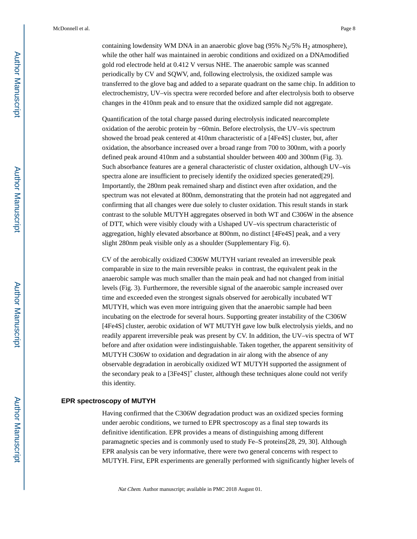containing lowdensity WM DNA in an anaerobic glove bag (95%  $N<sub>2</sub>/5%$  H<sub>2</sub> atmosphere), while the other half was maintained in aerobic conditions and oxidized on a DNAmodified gold rod electrode held at 0.412  V versus NHE. The anaerobic sample was scanned periodically by CV and SQWV, and, following electrolysis, the oxidized sample was transferred to the glove bag and added to a separate quadrant on the same chip. In addition to electrochemistry, UV–vis spectra were recorded before and after electrolysis both to observe changes in the 410 nm peak and to ensure that the oxidized sample did not aggregate.

Quantification of the total charge passed during electrolysis indicated nearcomplete oxidation of the aerobic protein by ~60 min. Before electrolysis, the UV–vis spectrum showed the broad peak centered at 410 nm characteristic of a [4Fe4S] cluster, but, after oxidation, the absorbance increased over a broad range from 700 to 300 nm, with a poorly defined peak around 410nm and a substantial shoulder between 400 and 300nm (Fig. 3). Such absorbance features are a general characteristic of cluster oxidation, although UV–vis spectra alone are insufficient to precisely identify the oxidized species generated[29]. Importantly, the 280 nm peak remained sharp and distinct even after oxidation, and the spectrum was not elevated at 800nm, demonstrating that the protein had not aggregated and confirming that all changes were due solely to cluster oxidation. This result stands in stark contrast to the soluble MUTYH aggregates observed in both WT and C306W in the absence of DTT, which were visibly cloudy with a Ushaped UV–vis spectrum characteristic of aggregation, highly elevated absorbance at 800 nm, no distinct [4Fe4S] peak, and a very slight 280 nm peak visible only as a shoulder (Supplementary Fig. 6).

CV of the aerobically oxidized C306W MUTYH variant revealed an irreversible peak comparable in size to the main reversible peaks; in contrast, the equivalent peak in the anaerobic sample was much smaller than the main peak and had not changed from initial levels (Fig. 3). Furthermore, the reversible signal of the anaerobic sample increased over time and exceeded even the strongest signals observed for aerobically incubated WT MUTYH, which was even more intriguing given that the anaerobic sample had been incubating on the electrode for several hours. Supporting greater instability of the C306W [4Fe4S] cluster, aerobic oxidation of WT MUTYH gave low bulk electrolysis yields, and no readily apparent irreversible peak was present by CV. In addition, the UV–vis spectra of WT before and after oxidation were indistinguishable. Taken together, the apparent sensitivity of MUTYH C306W to oxidation and degradation in air along with the absence of any observable degradation in aerobically oxidized WT MUTYH supported the assignment of the secondary peak to a  $[3Fe4S]^+$  cluster, although these techniques alone could not verify this identity.

#### **EPR spectroscopy of MUTYH**

Having confirmed that the C306W degradation product was an oxidized species forming under aerobic conditions, we turned to EPR spectroscopy as a final step towards its definitive identification. EPR provides a means of distinguishing among different paramagnetic species and is commonly used to study Fe–S proteins[28, 29, 30]. Although EPR analysis can be very informative, there were two general concerns with respect to MUTYH. First, EPR experiments are generally performed with significantly higher levels of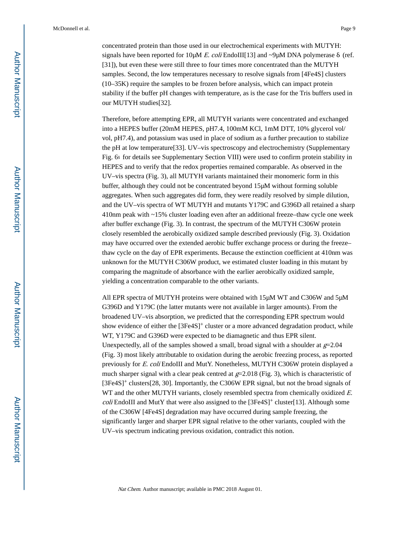concentrated protein than those used in our electrochemical experiments with MUTYH: signals have been reported for 10 $\mu$ M E. coli EndoIII[13] and ~9 $\mu$ M DNA polymerase  $\delta$  (ref. [31]), but even these were still three to four times more concentrated than the MUTYH samples. Second, the low temperatures necessary to resolve signals from [4Fe4S] clusters (10–35 K) require the samples to be frozen before analysis, which can impact protein stability if the buffer pH changes with temperature, as is the case for the Tris buffers used in our MUTYH studies[32].

Therefore, before attempting EPR, all MUTYH variants were concentrated and exchanged into a HEPES buffer (20 mM HEPES, pH 7.4, 100 mM KCl, 1 mM DTT, 10% glycerol vol/ vol, pH 7.4), and potassium was used in place of sodium as a further precaution to stabilize the pH at low temperature[33]. UV–vis spectroscopy and electrochemistry (Supplementary Fig. 6; for details see Supplementary Section VIII) were used to confirm protein stability in HEPES and to verify that the redox properties remained comparable. As observed in the UV–vis spectra (Fig. 3), all MUTYH variants maintained their monomeric form in this buffer, although they could not be concentrated beyond 15 μM without forming soluble aggregates. When such aggregates did form, they were readily resolved by simple dilution, and the UV–vis spectra of WT MUTYH and mutants Y179C and G396D all retained a sharp 410 nm peak with ~15% cluster loading even after an additional freeze–thaw cycle one week after buffer exchange (Fig. 3). In contrast, the spectrum of the MUTYH C306W protein closely resembled the aerobically oxidized sample described previously (Fig. 3). Oxidation may have occurred over the extended aerobic buffer exchange process or during the freeze– thaw cycle on the day of EPR experiments. Because the extinction coefficient at 410 nm was unknown for the MUTYH C306W product, we estimated cluster loading in this mutant by comparing the magnitude of absorbance with the earlier aerobically oxidized sample, yielding a concentration comparable to the other variants.

All EPR spectra of MUTYH proteins were obtained with 15 μM WT and C306W and 5 μM G396D and Y179C (the latter mutants were not available in larger amounts). From the broadened UV–vis absorption, we predicted that the corresponding EPR spectrum would show evidence of either the [3Fe4S]+ cluster or a more advanced degradation product, while WT, Y179C and G396D were expected to be diamagnetic and thus EPR silent. Unexpectedly, all of the samples showed a small, broad signal with a shoulder at  $g=2.04$ (Fig. 3) most likely attributable to oxidation during the aerobic freezing process, as reported previously for E. coli EndoIII and MutY. Nonetheless, MUTYH C306W protein displayed a much sharper signal with a clear peak centred at  $g=2.018$  (Fig. 3), which is characteristic of [3Fe4S]<sup>+</sup> clusters[28, 30]. Importantly, the C306W EPR signal, but not the broad signals of WT and the other MUTYH variants, closely resembled spectra from chemically oxidized E. *coli* EndoIII and MutY that were also assigned to the  $[3Fe4S]^+$  cluster [13]. Although some of the C306W [4Fe4S] degradation may have occurred during sample freezing, the significantly larger and sharper EPR signal relative to the other variants, coupled with the UV–vis spectrum indicating previous oxidation, contradict this notion.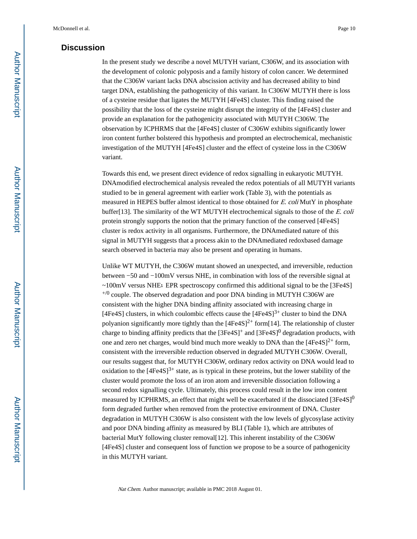#### **Discussion**

In the present study we describe a novel MUTYH variant, C306W, and its association with the development of colonic polyposis and a family history of colon cancer. We determined that the C306W variant lacks DNA abscission activity and has decreased ability to bind target DNA, establishing the pathogenicity of this variant. In C306W MUTYH there is loss of a cysteine residue that ligates the MUTYH [4Fe4S] cluster. This finding raised the possibility that the loss of the cysteine might disrupt the integrity of the [4Fe4S] cluster and provide an explanation for the pathogenicity associated with MUTYH C306W. The observation by ICPHRMS that the [4Fe4S] cluster of C306W exhibits significantly lower iron content further bolstered this hypothesis and prompted an electrochemical, mechanistic investigation of the MUTYH [4Fe4S] cluster and the effect of cysteine loss in the C306W variant.

Towards this end, we present direct evidence of redox signalling in eukaryotic MUTYH. DNAmodified electrochemical analysis revealed the redox potentials of all MUTYH variants studied to be in general agreement with earlier work (Table 3), with the potentials as measured in HEPES buffer almost identical to those obtained for E. coli MutY in phosphate buffer[13]. The similarity of the WT MUTYH electrochemical signals to those of the  $E$ . coli protein strongly supports the notion that the primary function of the conserved [4Fe4S] cluster is redox activity in all organisms. Furthermore, the DNAmediated nature of this signal in MUTYH suggests that a process akin to the DNAmediated redoxbased damage search observed in bacteria may also be present and operating in humans.

Unlike WT MUTYH, the C306W mutant showed an unexpected, and irreversible, reduction between −50 and −100 mV versus NHE, in combination with loss of the reversible signal at ~100 mV versus NHE; EPR spectroscopy confirmed this additional signal to be the [3Fe4S]  $^{+/0}$  couple. The observed degradation and poor DNA binding in MUTYH C306W are consistent with the higher DNA binding affinity associated with increasing charge in [4Fe4S] clusters, in which coulombic effects cause the  $[4Fe4S]$ <sup>3+</sup> cluster to bind the DNA polyanion significantly more tightly than the  $[4Fe4S]^{2+}$  form [14]. The relationship of cluster charge to binding affinity predicts that the  $[3Fe4S]^+$  and  $[3Fe4S]^0$  degradation products, with one and zero net charges, would bind much more weakly to DNA than the  $[4Fe4S]^{2+}$  form, consistent with the irreversible reduction observed in degraded MUTYH C306W. Overall, our results suggest that, for MUTYH C306W, ordinary redox activity on DNA would lead to oxidation to the  $[4Fe4S]^{3+}$  state, as is typical in these proteins, but the lower stability of the cluster would promote the loss of an iron atom and irreversible dissociation following a second redox signalling cycle. Ultimately, this process could result in the low iron content measured by ICPHRMS, an effect that might well be exacerbated if the dissociated  $[3Fe4S]$ <sup>0</sup> form degraded further when removed from the protective environment of DNA. Cluster degradation in MUTYH C306W is also consistent with the low levels of glycosylase activity and poor DNA binding affinity as measured by BLI (Table 1), which are attributes of bacterial MutY following cluster removal[12]. This inherent instability of the C306W [4Fe4S] cluster and consequent loss of function we propose to be a source of pathogenicity in this MUTYH variant.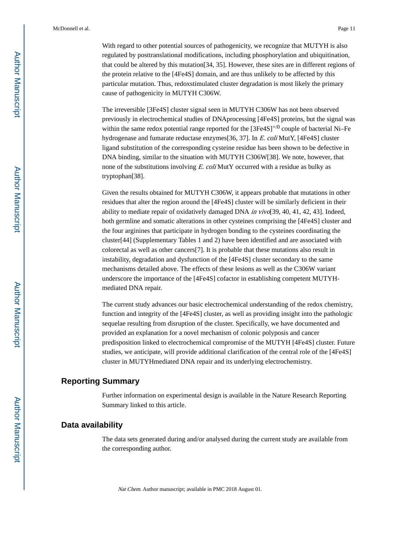With regard to other potential sources of pathogenicity, we recognize that MUTYH is also regulated by posttranslational modifications, including phosphorylation and ubiquitination, that could be altered by this mutation[34, 35]. However, these sites are in different regions of the protein relative to the [4Fe4S] domain, and are thus unlikely to be affected by this particular mutation. Thus, redoxstimulated cluster degradation is most likely the primary cause of pathogenicity in MUTYH C306W.

The irreversible [3Fe4S] cluster signal seen in MUTYH C306W has not been observed previously in electrochemical studies of DNAprocessing [4Fe4S] proteins, but the signal was within the same redox potential range reported for the  $[3Fe4S]^{+/0}$  couple of bacterial Ni–Fe hydrogenase and fumarate reductase enzymes[36, 37]. In E. coli MutY, [4Fe4S] cluster ligand substitution of the corresponding cysteine residue has been shown to be defective in DNA binding, similar to the situation with MUTYH C306W[38]. We note, however, that none of the substitutions involving E. coli MutY occurred with a residue as bulky as tryptophan[38].

Given the results obtained for MUTYH C306W, it appears probable that mutations in other residues that alter the region around the [4Fe4S] cluster will be similarly deficient in their ability to mediate repair of oxidatively damaged DNA in  $vi\sigma$ [39, 40, 41, 42, 43]. Indeed, both germline and somatic alterations in other cysteines comprising the [4Fe4S] cluster and the four arginines that participate in hydrogen bonding to the cysteines coordinating the cluster[44] (Supplementary Tables 1 and 2) have been identified and are associated with colorectal as well as other cancers[7]. It is probable that these mutations also result in instability, degradation and dysfunction of the [4Fe4S] cluster secondary to the same mechanisms detailed above. The effects of these lesions as well as the C306W variant underscore the importance of the [4Fe4S] cofactor in establishing competent MUTYHmediated DNA repair.

The current study advances our basic electrochemical understanding of the redox chemistry, function and integrity of the [4Fe4S] cluster, as well as providing insight into the pathologic sequelae resulting from disruption of the cluster. Specifically, we have documented and provided an explanation for a novel mechanism of colonic polyposis and cancer predisposition linked to electrochemical compromise of the MUTYH [4Fe4S] cluster. Future studies, we anticipate, will provide additional clarification of the central role of the [4Fe4S] cluster in MUTYHmediated DNA repair and its underlying electrochemistry.

#### **Reporting Summary**

Further information on experimental design is available in the Nature Research Reporting Summary linked to this article.

#### **Data availability**

The data sets generated during and/or analysed during the current study are available from the corresponding author.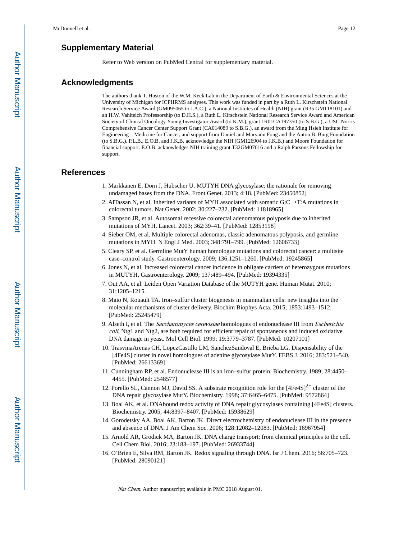### **Supplementary Material**

Refer to Web version on PubMed Central for supplementary material.

#### **Acknowledgments**

The authors thank T. Huston of the W.M. Keck Lab in the Department of Earth & Environmental Sciences at the University of Michigan for ICPHRMS analyses. This work was funded in part by a Ruth L. Kirschstein National Research Service Award (GM095065 to J.A.C.), a National Institutes of Health (NIH) grant (R35 GM118101) and an H.W. Vahlteich Professorship (to D.H.S.), a Ruth L. Kirschstein National Research Service Award and American Society of Clinical Oncology Young Investigator Award (to K.M.), grant 1R01CA197350 (to S.B.G.), a USC Norris Comprehensive Cancer Center Support Grant (CA014089 to S.B.G.), an award from the Ming Hsieh Institute for Engineering—Medicine for Cancer, and support from Daniel and Maryann Fong and the Anton B. Burg Foundation (to S.B.G.). P.L.B., E.O.B. and J.K.B. acknowledge the NIH (GM126904 to J.K.B.) and Moore Foundation for financial support. E.O.B. acknowledges NIH training grant T32GM07616 and a Ralph Parsons Fellowship for support.

#### **References**

- 1. Markkanen E, Dorn J, Hubscher U. MUTYH DNA glycosylase: the rationale for removing undamaged bases from the DNA. Front Genet. 2013; 4:18. [PubMed: 23450852]
- 2. AlTassan N, et al. Inherited variants of MYH associated with somatic G:C→T:A mutations in colorectal tumors. Nat Genet. 2002; 30:227–232. [PubMed: 11818965]
- 3. Sampson JR, et al. Autosomal recessive colorectal adenomatous polyposis due to inherited mutations of MYH. Lancet. 2003; 362:39–41. [PubMed: 12853198]
- 4. Sieber OM, et al. Multiple colorectal adenomas, classic adenomatous polyposis, and germline mutations in MYH. N Engl J Med. 2003; 348:791–799. [PubMed: 12606733]
- 5. Cleary SP, et al. Germline MutY human homologue mutations and colorectal cancer: a multisite case–control study. Gastroenterology. 2009; 136:1251–1260. [PubMed: 19245865]
- 6. Jones N, et al. Increased colorectal cancer incidence in obligate carriers of heterozygous mutations in MUTYH. Gastroenterology. 2009; 137:489–494. [PubMed: 19394335]
- 7. Out AA, et al. Leiden Open Variation Database of the MUTYH gene. Human Mutat. 2010; 31:1205–1215.
- 8. Maio N, Rouault TA. Iron–sulfur cluster biogenesis in mammalian cells: new insights into the molecular mechanisms of cluster delivery. Biochim Biophys Acta. 2015; 1853:1493–1512. [PubMed: 25245479]
- 9. Alseth I, et al. The Saccharomyces cerevisiae homologues of endonuclease III from Escherichia coli, Ntg1 and Ntg2, are both required for efficient repair of spontaneous and induced oxidative DNA damage in yeast. Mol Cell Biol. 1999; 19:3779–3787. [PubMed: 10207101]
- 10. TrasvinaArenas CH, LopezCastillo LM, SanchezSandoval E, Brieba LG. Dispensability of the [4Fe4S] cluster in novel homologues of adenine glycosylase MutY. FEBS J. 2016; 283:521–540. [PubMed: 26613369]
- 11. Cunningham RP, et al. Endonuclease III is an iron–sulfur protein. Biochemistry. 1989; 28:4450– 4455. [PubMed: 2548577]
- 12. Porello SL, Cannon MJ, David SS. A substrate recognition role for the  $[4Fe4S]^{2+}$  cluster of the DNA repair glycosylase MutY. Biochemistry. 1998; 37:6465–6475. [PubMed: 9572864]
- 13. Boal AK, et al. DNAbound redox activity of DNA repair glycosylases containing [4Fe4S] clusters. Biochemistry. 2005; 44:8397–8407. [PubMed: 15938629]
- 14. Gorodetsky AA, Boal AK, Barton JK. Direct electrochemistry of endonuclease III in the presence and absence of DNA. J Am Chem Soc. 2006; 128:12082–12083. [PubMed: 16967954]
- 15. Arnold AR, Grodick MA, Barton JK. DNA charge transport: from chemical principles to the cell. Cell Chem Biol. 2016; 23:183–197. [PubMed: 26933744]
- 16. O'Brien E, Silva RM, Barton JK. Redox signaling through DNA. Isr J Chem. 2016; 56:705–723. [PubMed: 28090121]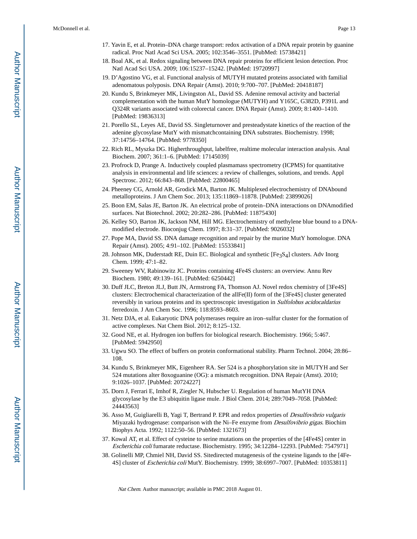- 17. Yavin E, et al. Protein–DNA charge transport: redox activation of a DNA repair protein by guanine radical. Proc Natl Acad Sci USA. 2005; 102:3546–3551. [PubMed: 15738421]
- 18. Boal AK, et al. Redox signaling between DNA repair proteins for efficient lesion detection. Proc Natl Acad Sci USA. 2009; 106:15237–15242. [PubMed: 19720997]
- 19. D'Agostino VG, et al. Functional analysis of MUTYH mutated proteins associated with familial adenomatous polyposis. DNA Repair (Amst). 2010; 9:700–707. [PubMed: 20418187]
- 20. Kundu S, Brinkmeyer MK, Livingston AL, David SS. Adenine removal activity and bacterial complementation with the human MutY homologue (MUTYH) and Y165C, G382D, P391L and Q324R variants associated with colorectal cancer. DNA Repair (Amst). 2009; 8:1400–1410. [PubMed: 19836313]
- 21. Porello SL, Leyes AE, David SS. Singleturnover and presteadystate kinetics of the reaction of the adenine glycosylase MutY with mismatchcontaining DNA substrates. Biochemistry. 1998; 37:14756–14764. [PubMed: 9778350]
- 22. Rich RL, Myszka DG. Higherthroughput, labelfree, realtime molecular interaction analysis. Anal Biochem. 2007; 361:1–6. [PubMed: 17145039]
- 23. Profrock D, Prange A. Inductively coupled plasmamass spectrometry (ICPMS) for quantitative analysis in environmental and life sciences: a review of challenges, solutions, and trends. Appl Spectrosc. 2012; 66:843–868. [PubMed: 22800465]
- 24. Pheeney CG, Arnold AR, Grodick MA, Barton JK. Multiplexed electrochemistry of DNAbound metalloproteins. J Am Chem Soc. 2013; 135:11869–11878. [PubMed: 23899026]
- 25. Boon EM, Salas JE, Barton JK. An electrical probe of protein–DNA interactions on DNAmodified surfaces. Nat Biotechnol. 2002; 20:282–286. [PubMed: 11875430]
- 26. Kelley SO, Barton JK, Jackson NM, Hill MG. Electrochemistry of methylene blue bound to a DNA‐ modified electrode. Bioconjug Chem. 1997; 8:31–37. [PubMed: 9026032]
- 27. Pope MA, David SS. DNA damage recognition and repair by the murine MutY homologue. DNA Repair (Amst). 2005; 4:91–102. [PubMed: 15533841]
- 28. Johnson MK, Duderstadt RE, Duin EC. Biological and synthetic [Fe3S4] clusters. Adv Inorg Chem. 1999; 47:1–82.
- 29. Sweeney WV, Rabinowitz JC. Proteins containing 4Fe4S clusters: an overview. Annu Rev Biochem. 1980; 49:139–161. [PubMed: 6250442]
- 30. Duff JLC, Breton JLJ, Butt JN, Armstrong FA, Thomson AJ. Novel redox chemistry of [3Fe4S] clusters: Electrochemical characterization of the allFe(II) form of the [3Fe4S] cluster generated reversibly in various proteins and its spectroscopic investigation in Sulfolobus acidocaldarius ferredoxin. J Am Chem Soc. 1996; 118:8593–8603.
- 31. Netz DJA, et al. Eukaryotic DNA polymerases require an iron–sulfur cluster for the formation of active complexes. Nat Chem Biol. 2012; 8:125–132.
- 32. Good NE, et al. Hydrogen ion buffers for biological research. Biochemistry. 1966; 5:467. [PubMed: 5942950]
- 33. Ugwu SO. The effect of buffers on protein conformational stability. Pharm Technol. 2004; 28:86– 108.
- 34. Kundu S, Brinkmeyer MK, Eigenheer RA. Ser 524 is a phosphorylation site in MUTYH and Ser 524 mutations alter 8oxoguanine (OG): a mismatch recognition. DNA Repair (Amst). 2010; 9:1026–1037. [PubMed: 20724227]
- 35. Dorn J, Ferrari E, Imhof R, Ziegler N, Hubscher U. Regulation of human MutYH DNA glycosylase by the E3 ubiquitin ligase mule. J Biol Chem. 2014; 289:7049–7058. [PubMed: 24443563]
- 36. Asso M, Guigliarelli B, Yagi T, Bertrand P. EPR and redox properties of Desulfovibrio vulgaris Miyazaki hydrogenase: comparison with the Ni–Fe enzyme from Desulfovibrio gigas. Biochim Biophys Acta. 1992; 1122:50–56. [PubMed: 1321673]
- 37. Kowal AT, et al. Effect of cysteine to serine mutations on the properties of the [4Fe4S] center in Escherichia coli fumarate reductase. Biochemistry. 1995; 34:12284–12293. [PubMed: 7547971]
- 38. Golinelli MP, Chmiel NH, David SS. Sitedirected mutagenesis of the cysteine ligands to [4Fe‐ 4S] cluster of Escherichia coli MutY. Biochemistry. 1999; 38:6997–7007. [PubMed: 10353811]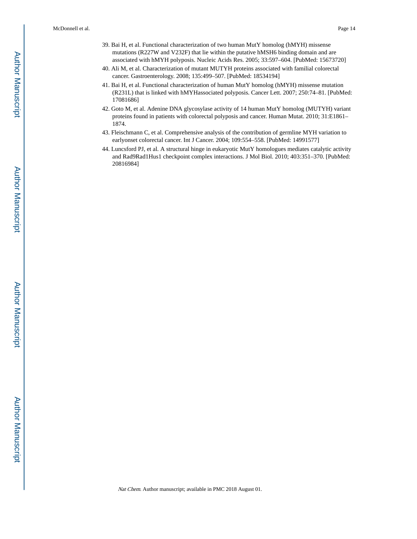- 39. Bai H, et al. Functional characterization of two human MutY homolog (hMYH) missense mutations (R227W and V232F) that lie within the putative hMSH6 binding domain and are associated with hMYH polyposis. Nucleic Acids Res. 2005; 33:597–604. [PubMed: 15673720]
- 40. Ali M, et al. Characterization of mutant MUTYH proteins associated with familial colorectal cancer. Gastroenterology. 2008; 135:499–507. [PubMed: 18534194]
- 41. Bai H, et al. Functional characterization of human MutY homolog (hMYH) missense mutation (R231L) that is linked with hMYHassociated polyposis. Cancer Lett. 2007; 250:74–81. [PubMed: 17081686]
- 42. Goto M, et al. Adenine DNA glycosylase activity of 14 human MutY homolog (MUTYH) variant proteins found in patients with colorectal polyposis and cancer. Human Mutat. 2010; 31:E1861– 1874.
- 43. Fleischmann C, et al. Comprehensive analysis of the contribution of germline MYH variation to earlyonset colorectal cancer. Int J Cancer. 2004; 109:554–558. [PubMed: 14991577]
- 44. Luncsford PJ, et al. A structural hinge in eukaryotic MutY homologues mediates catalytic activity and Rad9Rad1Hus1 checkpoint complex interactions. J Mol Biol. 2010; 403:351–370. [PubMed: 20816984]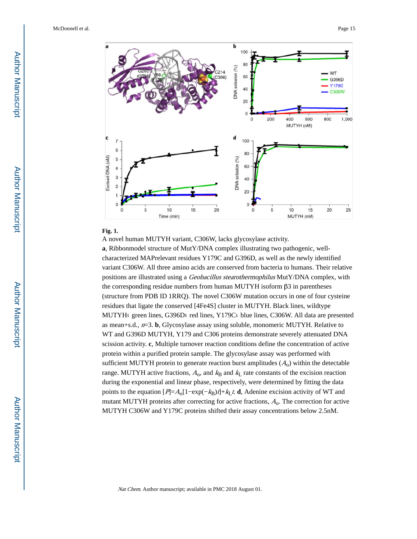

#### **Fig. 1.**

A novel human MUTYH variant, C306W, lacks glycosylase activity.

**a**, Ribbonmodel structure of MutY/DNA complex illustrating two pathogenic, well‐ characterized MAPrelevant residues Y179C and G396D, as well as the newly identified variant C306W. All three amino acids are conserved from bacteria to humans. Their relative positions are illustrated using a Geobacillus stearothermophilus MutY/DNA complex, with the corresponding residue numbers from human MUTYH isoform β3 in parentheses (structure from PDB ID 1RRQ). The novel C306W mutation occurs in one of four cysteine residues that ligate the conserved [4Fe4S] cluster in MUTYH. Black lines, wildtype MUTYH; green lines, G396D; red lines, Y179C; blue lines, C306W. All data are presented as mean $+s.d., n=3$ . **b**, Glycosylase assay using soluble, monomeric MUTYH. Relative to WT and G396D MUTYH, Y179 and C306 proteins demonstrate severely attenuated DNA scission activity. **c**, Multiple turnover reaction conditions define the concentration of active protein within a purified protein sample. The glycosylase assay was performed with sufficient MUTYH protein to generate reaction burst amplitudes  $(A_0)$  within the detectable range. MUTYH active fractions,  $A_0$ , and  $k_B$  and  $k_L$  rate constants of the excision reaction during the exponential and linear phase, respectively, were determined by fitting the data points to the equation  $[P]=A_0[1-\exp(-k_B)t]+k_Lt$ . **d**, Adenine excision activity of WT and mutant MUTYH proteins after correcting for active fractions,  $A_0$ . The correction for active MUTYH C306W and Y179C proteins shifted their assay concentrations below 2.5 nM.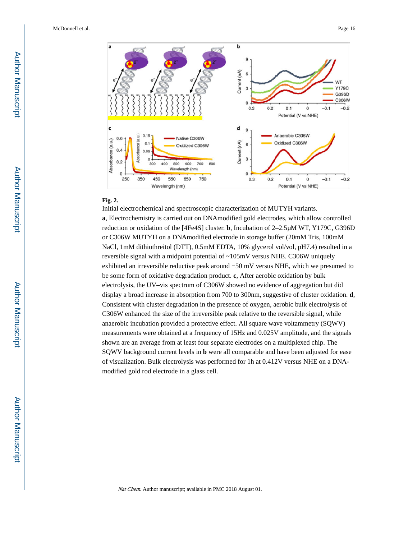

#### **Fig. 2.**

Initial electrochemical and spectroscopic characterization of MUTYH variants.

**a**, Electrochemistry is carried out on DNAmodified gold electrodes, which allow controlled reduction or oxidation of the [4Fe4S] cluster. **b**, Incubation of 2–2.5 μM WT, Y179C, G396D or C306W MUTYH on a DNAmodified electrode in storage buffer (20 mM Tris, 100 mM NaCl, 1mM dithiothreitol (DTT), 0.5mM EDTA, 10% glycerol vol/vol, pH7.4) resulted in a reversible signal with a midpoint potential of ~105 mV versus NHE. C306W uniquely exhibited an irreversible reductive peak around −50 mV versus NHE, which we presumed to be some form of oxidative degradation product. **c**, After aerobic oxidation by bulk electrolysis, the UV–vis spectrum of C306W showed no evidence of aggregation but did display a broad increase in absorption from 700 to 300 nm, suggestive of cluster oxidation. **d**, Consistent with cluster degradation in the presence of oxygen, aerobic bulk electrolysis of C306W enhanced the size of the irreversible peak relative to the reversible signal, while anaerobic incubation provided a protective effect. All square wave voltammetry (SQWV) measurements were obtained at a frequency of 15 Hz and 0.025 V amplitude, and the signals shown are an average from at least four separate electrodes on a multiplexed chip. The SQWV background current levels in **b** were all comparable and have been adjusted for ease of visualization. Bulk electrolysis was performed for 1 h at 0.412 V versus NHE on a DNA‐ modified gold rod electrode in a glass cell.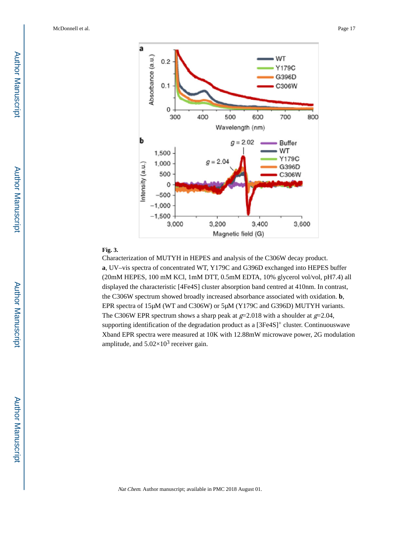

#### **Fig. 3.**

Characterization of MUTYH in HEPES and analysis of the C306W decay product. **a**, UV–vis spectra of concentrated WT, Y179C and G396D exchanged into HEPES buffer (20 mM HEPES, 100  mM KCl, 1 mM DTT, 0.5 mM EDTA, 10% glycerol vol/vol, pH 7.4) all displayed the characteristic [4Fe4S] cluster absorption band centred at 410 nm. In contrast, the C306W spectrum showed broadly increased absorbance associated with oxidation. **b**, EPR spectra of 15 μM (WT and C306W) or 5 μM (Y179C and G396D) MUTYH variants. The C306W EPR spectrum shows a sharp peak at  $g=2.018$  with a shoulder at  $g=2.04$ , supporting identification of the degradation product as a [3Fe4S]<sup>+</sup> cluster. Continuouswave Xband EPR spectra were measured at 10 K with 12.88 mW microwave power, 2 G modulation amplitude, and  $5.02\times10^3$  receiver gain.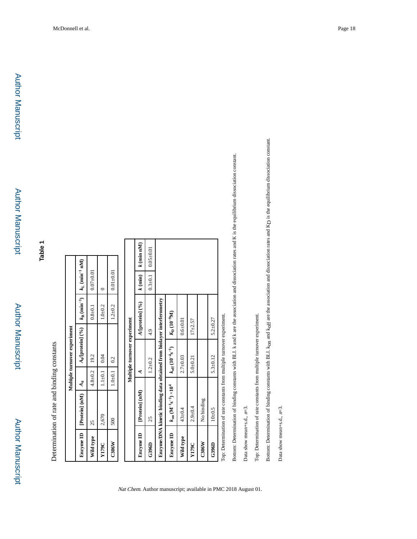**Table 1**

Determination of rate and binding constants Determination of rate and binding constants **Multiple turnover experiment**

Multiple turnover experiment

| Enzyme ID  | [Protein] (nM)                                                        | $\frac{A_0}{A_0}$ | $A_0$ [protein] $(%$ <sub>0</sub> )  |                         | $k_B$ (min <sup>-1</sup> ) $k_L$ (min <sup>-1</sup> nM) |               |               |  |
|------------|-----------------------------------------------------------------------|-------------------|--------------------------------------|-------------------------|---------------------------------------------------------|---------------|---------------|--|
| Wild type  | 25                                                                    | $4.8 + 0.2$       | 19.2                                 |                         | $0.8 + 0.1$                                             | $0.07 + 0.01$ |               |  |
| Y179C      | 2,670                                                                 | $1.1 + 0.1$       | 0.04                                 |                         | $1.0 + 0.2$                                             |               |               |  |
| $C306$ $N$ | 500                                                                   | $1.0 + 0.1$       | 0.2                                  |                         | $1.2 + 0.2$                                             | $0.01 + 0.01$ |               |  |
|            |                                                                       |                   |                                      |                         |                                                         |               |               |  |
|            |                                                                       |                   | Multiple turnover experiment         |                         |                                                         |               |               |  |
| Enzyme ID  | [Protein] (nM)                                                        | ₹                 |                                      |                         | A/[protein] (%)                                         | $k$ (min)     | $k$ (min nM)  |  |
| G396D      | 25                                                                    |                   | $1.2 + 0.2$                          | 4.9                     |                                                         | $0.3 + 0.1$   | $0.05 + 0.01$ |  |
|            | Enzyme/DNA kinetic binding data obtained from biolayer interferometry |                   |                                      |                         |                                                         |               |               |  |
| Enzyme ID  | $k_{on}$ $(M^{-1}s^{-1}) \times 10^4$                                 |                   | $k_{\rm off} (10^{-4} {\rm s}^{-1})$ | $K_{\rm D} (10^{-9} M)$ |                                                         |               |               |  |
| Wild type  | $43 \pm 0.4$                                                          |                   | $2.7 + 0.03$                         | $0.6 + 0.01$            |                                                         |               |               |  |
| Y179C      | $2.9 + 0.4$                                                           |                   | $5.0 + 0.21$                         | $17 + 2.57$             |                                                         |               |               |  |

Top: Determination of rate constants from multiple turnover experiment. Top: Determination of rate constants from multiple turnover experiment. **G396D** 10±0.5  $\left| \begin{array}{cc} 10 \pm 0.5 \\ 5.3 \pm 0.12 \end{array} \right|$  5.2±0.27

 $5.2 + 0.27$ 

 $5.3 + 0.12$ 

**C306W** No binding

 $C306W$ G396D

 $10\pm0.5$ 

No binding

Nat Chem. Author manuscript; available in PMC 2018 August 01.

Bottom: Determination of binding constants with BLI. k and k are the association and dissociation rates and K is the equilibrium dissociation constant. Bottom: Determination of binding constants with BLI. k and k are the association and dissociation rates and K is the equilibrium dissociation constant.

Data show mean+s.d., Data show mean+s.d.,  $n=3$ . Top: Determination of rate constants from multiple turnover experiment. Top: Determination of rate constants from multiple turnover experiment. Bottom: Determination of binding constants with BLI. kon and koff are the association and dissociation rates and KD is the equilibrium dissociation constant. D is the equilibrium dissociation constant. Bottom: Determination of binding constants with BLI. kon and koff are the association and dissociation rates and K

Data show mean+s.d., Data show mean+s.d.,  $n=3$ .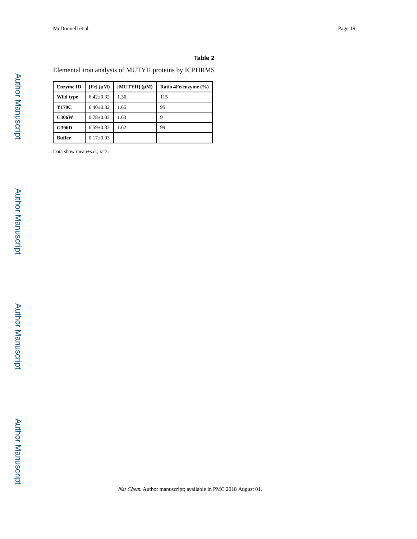#### **Table 2**

Elemental iron analysis of MUTYH proteins by ICPHRMS

| <b>Enzyme ID</b> | [Fe] (µM)       | $[MUTYH] (\mu M)$ | Ratio 4Fe/enzyme (%) |
|------------------|-----------------|-------------------|----------------------|
| Wild type        | $6.42 \pm 0.32$ | 1.36              | 115                  |
| <b>Y179C</b>     | $6.40 \pm 0.32$ | 1.65              | 95                   |
| <b>C306W</b>     | $0.78 \pm 0.03$ | 1.63              | q                    |
| <b>G396D</b>     | $6.59 \pm 0.33$ | 1.62              | 99                   |
| <b>Buffer</b>    | $0.17 \pm 0.03$ |                   |                      |

Data show mean±s.d.,  $n=3$ .